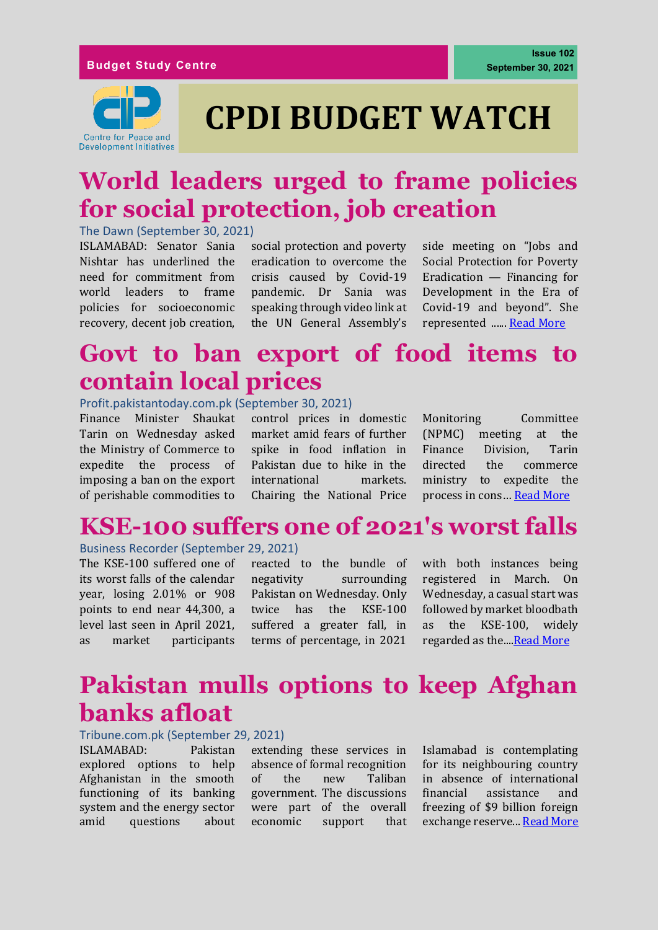

# **CPDI BUDGET WATCH**

### **World leaders urged to frame policies for social protection, job creation**

The Dawn (September 30, 2021)

ISLAMABAD: Senator Sania Nishtar has underlined the need for commitment from world leaders to frame policies for socioeconomic recovery, decent job creation,

social protection and poverty eradication to overcome the crisis caused by Covid-19 pandemic. Dr Sania was speaking through video link at the UN General Assembly's

side meeting on "Jobs and Social Protection for Poverty Eradication — Financing for Development in the Era of Covid-19 and beyond". She represented ...... [Read More](https://www.dawn.com/news/1649236)

### **Govt to ban export of food items to contain local prices**

### Profit.pakistantoday.com.pk (September 30, 2021)

Finance Minister Shaukat Tarin on Wednesday asked the Ministry of Commerce to expedite the process of imposing a ban on the export of perishable commodities to

control prices in domestic market amid fears of further spike in food inflation in Pakistan due to hike in the international markets. Chairing the National Price

Monitoring Committee (NPMC) meeting at the Finance Division, Tarin directed the commerce ministry to expedite the process in cons… [Read More](https://profit.pakistantoday.com.pk/2021/09/30/govt-to-ban-export-of-food-items-to-contain-local-prices/)

## **KSE-100 suffers one of 2021's worst falls**

#### Business Recorder (September 29, 2021)

The KSE-100 suffered one of its worst falls of the calendar year, losing 2.01% or 908 points to end near 44,300, a level last seen in April 2021, as market participants

reacted to the bundle of negativity surrounding Pakistan on Wednesday. Only twice has the KSE-100 suffered a greater fall, in terms of percentage, in 2021 with both instances being registered in March. On Wednesday, a casual start was followed by market bloodbath as the KSE-100, widely regarded as the Read More

### **Pakistan mulls options to keep Afghan banks afloat**

### Tribune.com.pk (September 29, 2021)

ISLAMABAD: Pakistan explored options to help Afghanistan in the smooth functioning of its banking system and the energy sector amid questions about

extending these services in absence of formal recognition of the new Taliban government. The discussions were part of the overall economic support that Islamabad is contemplating for its neighbouring country in absence of international financial assistance and freezing of \$9 billion foreign exchange reserve... [Read More](https://tribune.com.pk/story/2322470/pakistan-mulls-options-to-keep-afghan-banks-afloat)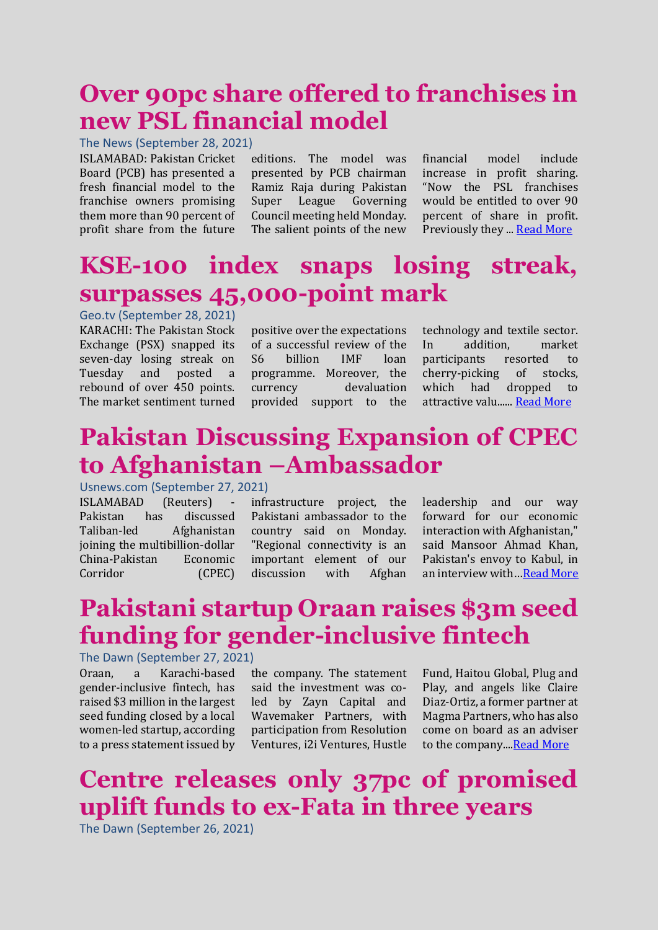# **Over 90pc share offered to franchises in new PSL financial model**

The News (September 28, 2021)

ISLAMABAD: Pakistan Cricket Board (PCB) has presented a fresh financial model to the franchise owners promising them more than 90 percent of profit share from the future

editions. The model was presented by PCB chairman Ramiz Raja during Pakistan Super League Governing Council meeting held Monday. The salient points of the new

financial model include increase in profit sharing. "Now the PSL franchises would be entitled to over 90 percent of share in profit. Previously they ..[. Read More](https://www.thenews.com.pk/print/895828-over-90pc-share-offered-to-franchises-in-new-psl-financial-model)

# **KSE-100 index snaps losing streak, surpasses 45,000-point mark**

Geo.tv (September 28, 2021)

KARACHI: The Pakistan Stock Exchange (PSX) snapped its seven-day losing streak on Tuesday and posted a rebound of over 450 points. The market sentiment turned positive over the expectations of a successful review of the S6 billion IMF loan programme. Moreover, the currency devaluation provided support to the

technology and textile sector. In addition, market participants resorted to cherry-picking of stocks, which had dropped to attractive valu.....[. Read More](https://www.geo.tv/latest/372920-kse-100-index-snaps-losing-streak-surpasses-45000-point-mark)

# **Pakistan Discussing Expansion of CPEC to Afghanistan –Ambassador**

### Usnews.com (September 27, 2021)

ISLAMABAD (Reuters) Pakistan has discussed Taliban-led Afghanistan joining the multibillion-dollar China-Pakistan Economic Corridor (CPEC)

infrastructure project, the Pakistani ambassador to the country said on Monday. "Regional connectivity is an important element of our discussion with Afghan

leadership and our way forward for our economic interaction with Afghanistan," said Mansoor Ahmad Khan, Pakistan's envoy to Kabul, in an interview with…[Read More](https://www.usnews.com/news/world/articles/2021-09-27/pakistan-discussing-expansion-of-cpec-to-afghanistan-ambassador)

# **Pakistani startup Oraan raises \$3m seed funding for gender-inclusive fintech**

The Dawn (September 27, 2021)

Oraan, a Karachi-based gender-inclusive fintech, has raised \$3 million in the largest seed funding closed by a local women-led startup, according to a press statement issued by

the company. The statement said the investment was coled by Zayn Capital and Wavemaker Partners, with participation from Resolution Ventures, i2i Ventures, Hustle

Fund, Haitou Global, Plug and Play, and angels like Claire Diaz-Ortiz, a former partner at Magma Partners, who has also come on board as an adviser to the company..[..Read More](https://www.dawn.com/news/1648752)

# **Centre releases only 37pc of promised uplift funds to ex-Fata in three years**

The Dawn (September 26, 2021)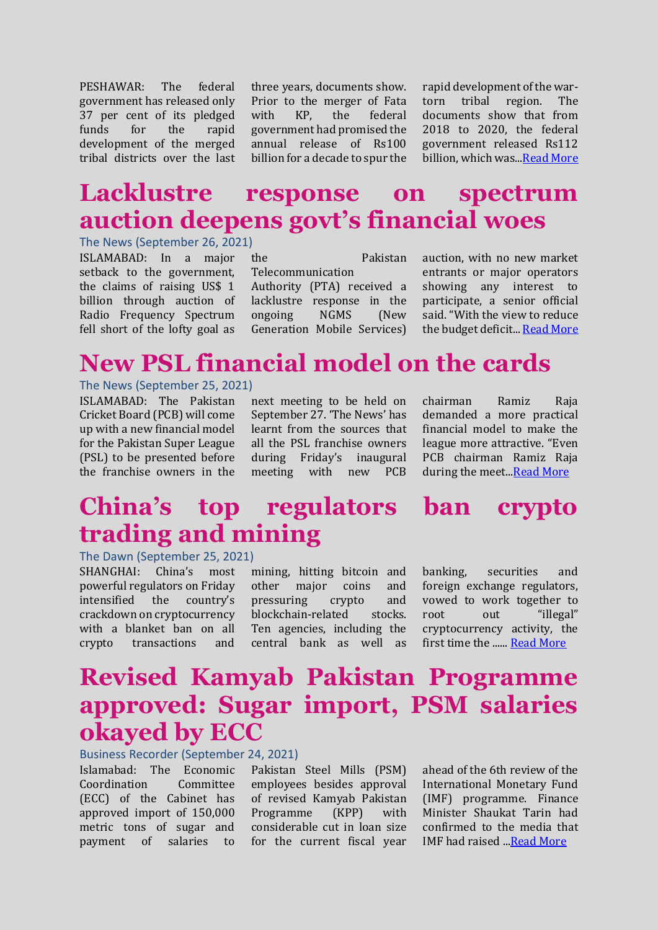PESHAWAR: The federal government has released only 37 per cent of its pledged funds for the rapid development of the merged tribal districts over the last

three years, documents show. Prior to the merger of Fata with KP, the federal government had promised the annual release of Rs100 billion for a decade to spur the

rapid development of the wartorn tribal region. The documents show that from 2018 to 2020, the federal government released Rs112 billion, which was..[.Read More](https://www.dawn.com/news/1648493)

## **Lacklustre response on spectrum auction deepens govt's financial woes**

The News (September 26, 2021)

ISLAMABAD: In a major setback to the government, the claims of raising US\$ 1 billion through auction of Radio Frequency Spectrum fell short of the lofty goal as

the Pakistan

Telecommunication Authority (PTA) received a lacklustre response in the ongoing NGMS (New Generation Mobile Services)

auction, with no new market entrants or major operators showing any interest to participate, a senior official said. "With the view to reduce the budget deficit... [Read More](https://www.thenews.com.pk/print/895441-lacklustre-response-on-spectrum-auction-deepens-govt-s-financial-woes)

# **New PSL financial model on the cards**

#### The News (September 25, 2021)

ISLAMABAD: The Pakistan Cricket Board (PCB) will come up with a new financial model for the Pakistan Super League (PSL) to be presented before the franchise owners in the

next meeting to be held on September 27. 'The News' has learnt from the sources that all the PSL franchise owners during Friday's inaugural meeting with new PCB chairman Ramiz Raja demanded a more practical financial model to make the league more attractive. "Even PCB chairman Ramiz Raja during the meet.[..Read More](https://www.thenews.com.pk/print/895091-new-psl-financial-model-on-the-cards)

# **China's top regulators ban crypto trading and mining**

The Dawn (September 25, 2021)

SHANGHAI: China's most powerful regulators on Friday intensified the country's crackdown on cryptocurrency with a blanket ban on all crypto transactions and

mining, hitting bitcoin and other major coins and pressuring crypto and blockchain-related stocks. Ten agencies, including the central bank as well as

banking, securities and foreign exchange regulators, vowed to work together to root out "illegal" cryptocurrency activity, the first time the ...... [Read More](https://www.dawn.com/news/1648244)

# **Revised Kamyab Pakistan Programme approved: Sugar import, PSM salaries okayed by ECC**

Business Recorder (September 24, 2021)

Islamabad: The Economic Coordination Committee (ECC) of the Cabinet has approved import of 150,000 metric tons of sugar and payment of salaries to

Pakistan Steel Mills (PSM) employees besides approval of revised Kamyab Pakistan Programme (KPP) with considerable cut in loan size for the current fiscal year ahead of the 6th review of the International Monetary Fund (IMF) programme. Finance Minister Shaukat Tarin had confirmed to the media that IMF had raised ..[.Read More](https://www.brecorder.com/news/40122337)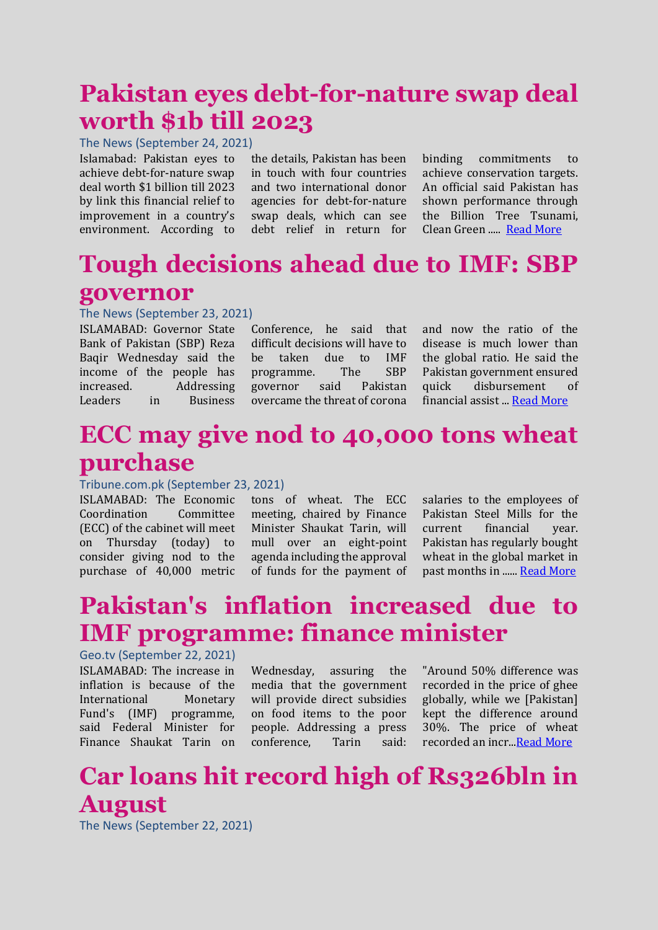# **Pakistan eyes debt-for-nature swap deal worth \$1b till 2023**

The News (September 24, 2021)

Islamabad: Pakistan eyes to achieve debt-for-nature swap deal worth \$1 billion till 2023 by link this financial relief to improvement in a country's environment. According to

the details, Pakistan has been in touch with four countries and two international donor agencies for debt-for-nature swap deals, which can see debt relief in return for

binding commitments to achieve conservation targets. An official said Pakistan has shown performance through the Billion Tree Tsunami, Clean Green ..... [Read More](https://www.thenews.com.pk/print/894855-pakistan-eyes-debt-for-nature-swap-deal-worth-1b-till-2023)

# **Tough decisions ahead due to IMF: SBP governor**

### The News (September 23, 2021)

ISLAMABAD: Governor State Bank of Pakistan (SBP) Reza Baqir Wednesday said the income of the people has increased. Addressing Leaders in Business

Conference, he said that difficult decisions will have to be taken due to IMF programme. The SBP governor said Pakistan overcame the threat of corona

and now the ratio of the disease is much lower than the global ratio. He said the Pakistan government ensured quick disbursement of financial assist ..[. Read More](https://www.thenews.com.pk/print/894651-tough-decisions-ahead-due-to-imf-sbp-governor)

# **ECC may give nod to 40,000 tons wheat purchase**

### Tribune.com.pk (September 23, 2021)

ISLAMABAD: The Economic Coordination Committee (ECC) of the cabinet will meet on Thursday (today) to consider giving nod to the purchase of 40,000 metric

tons of wheat. The ECC meeting, chaired by Finance Minister Shaukat Tarin, will mull over an eight-point agenda including the approval of funds for the payment of

salaries to the employees of Pakistan Steel Mills for the current financial year. Pakistan has regularly bought wheat in the global market in past months in .....[. Read More](https://tribune.com.pk/story/2321504/ecc-may-give-nod-to-40000-tons-wheat-purchase)

# **Pakistan's inflation increased due to IMF programme: finance minister**

Geo.tv (September 22, 2021) ISLAMABAD: The increase in inflation is because of the International Monetary Fund's (IMF) programme, said Federal Minister for Finance Shaukat Tarin on

Wednesday, assuring the media that the government will provide direct subsidies on food items to the poor people. Addressing a press conference, Tarin said:

"Around 50% difference was recorded in the price of ghee globally, while we [Pakistan] kept the difference around 30%. The price of wheat recorded an incr.[..Read More](https://www.geo.tv/latest/371932-pakistans-inflation-increased-due-to-imf-programme-finance-minister)

# **Car loans hit record high of Rs326bln in August**

The News (September 22, 2021)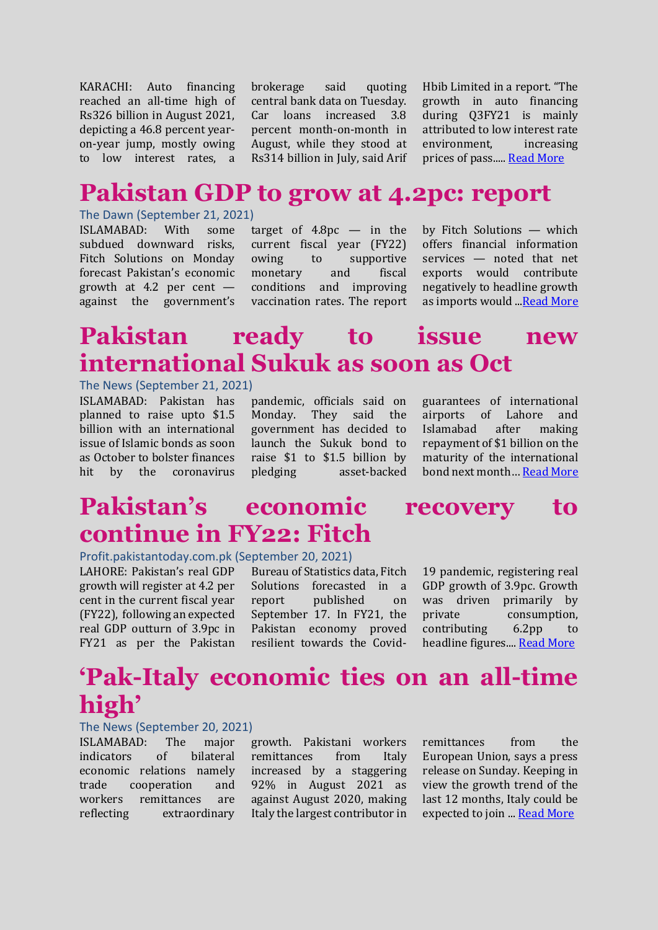KARACHI: Auto financing reached an all-time high of Rs326 billion in August 2021, depicting a 46.8 percent yearon-year jump, mostly owing to low interest rates, a

brokerage said quoting central bank data on Tuesday. Car loans increased 3.8 percent month-on-month in August, while they stood at Rs314 billion in July, said Arif Hbib Limited in a report. "The growth in auto financing during Q3FY21 is mainly attributed to low interest rate environment, increasing prices of pass..... [Read More](https://www.thenews.com.pk/print/894300-car-loans-hit-record-high-of-rs326bln-in-august)

### **Pakistan GDP to grow at 4.2pc: report**

### The Dawn (September 21, 2021)

ISLAMABAD: With some subdued downward risks, Fitch Solutions on Monday forecast Pakistan's economic growth at 4.2 per cent against the government's

target of  $4.8pc$  — in the current fiscal year (FY22) owing to supportive monetary and fiscal conditions and improving vaccination rates. The report by Fitch Solutions — which offers financial information services — noted that net exports would contribute negatively to headline growth as imports would ..[.Read More](https://www.dawn.com/news/1647487)

# **Pakistan ready to issue new international Sukuk as soon as Oct**

#### The News (September 21, 2021)

ISLAMABAD: Pakistan has planned to raise upto \$1.5 billion with an international issue of Islamic bonds as soon as October to bolster finances hit by the coronavirus

pandemic, officials said on Monday. They said the government has decided to launch the Sukuk bond to raise \$1 to \$1.5 billion by pledging asset-backed

guarantees of international airports of Lahore and Islamabad after making repayment of \$1 billion on the maturity of the international bond next month… [Read More](https://www.thenews.com.pk/print/894058-pakistan-ready-to-issue-new-international-sukuk-as-soon-as-oct)

# **Pakistan's economic recovery to continue in FY22: Fitch**

#### Profit.pakistantoday.com.pk (September 20, 2021)

LAHORE: Pakistan's real GDP growth will register at 4.2 per cent in the current fiscal year (FY22), following an expected real GDP outturn of 3.9pc in FY21 as per the Pakistan

Bureau of Statistics data, Fitch Solutions forecasted in a report published on September 17. In FY21, the Pakistan economy proved resilient towards the Covid-

19 pandemic, registering real GDP growth of 3.9pc. Growth was driven primarily by private consumption, contributing 6.2pp to headline figures...[. Read More](https://profit.pakistantoday.com.pk/2021/09/20/pakistans-economic-recovery-to-continue-in-fy22-fitch/)

### **'Pak-Italy economic ties on an all-time high'**

#### The News (September 20, 2021)

ISLAMABAD: The major indicators of bilateral economic relations namely trade cooperation and workers remittances are reflecting extraordinary growth. Pakistani workers remittances from Italy increased by a staggering 92% in August 2021 as against August 2020, making Italy the largest contributor in

remittances from the European Union, says a press release on Sunday. Keeping in view the growth trend of the last 12 months, Italy could be expected to join ... [Read More](https://www.thenews.com.pk/print/893922-pak-italy-economic-ties-on-an-all-time-high)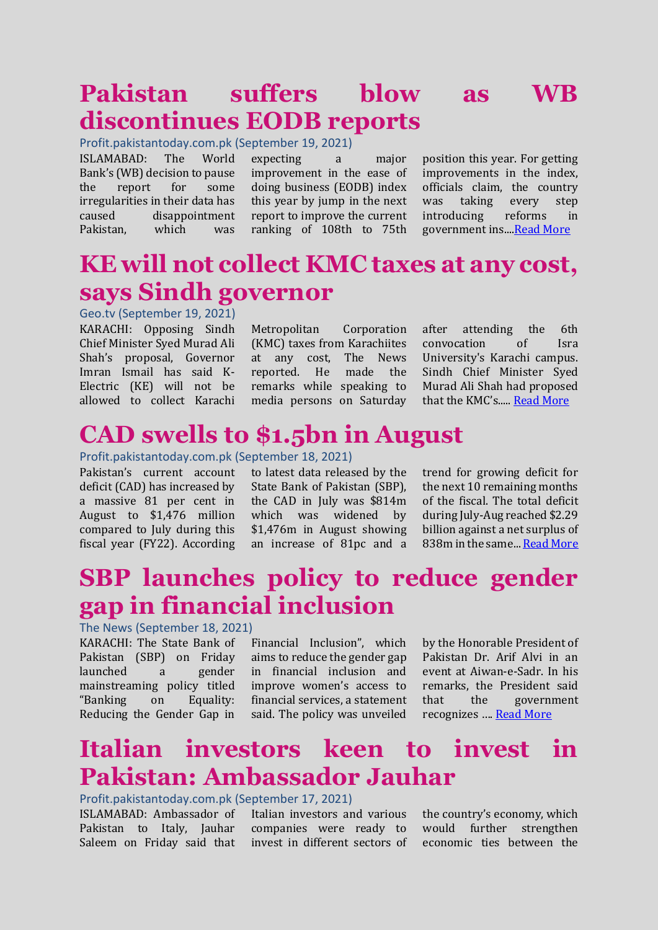# **Pakistan suffers blow as WB discontinues EODB reports**

Profit.pakistantoday.com.pk (September 19, 2021)

ISLAMABAD: The World Bank's (WB) decision to pause the report for some irregularities in their data has caused disappointment Pakistan, which was

expecting a major improvement in the ease of doing business (EODB) index this year by jump in the next report to improve the current ranking of 108th to 75th position this year. For getting improvements in the index, officials claim, the country was taking every step introducing reforms in government ins..[..Read More](https://profit.pakistantoday.com.pk/2021/09/19/pakistan-suffers-blow-as-wb-discontinues-eodb-reports/)

### **KE will not collect KMC taxes at any cost, says Sindh governor**

Geo.tv (September 19, 2021)

KARACHI: Opposing Sindh Chief Minister Syed Murad Ali Shah's proposal, Governor Imran Ismail has said K-Electric (KE) will not be allowed to collect Karachi

Metropolitan Corporation (KMC) taxes from Karachiites at any cost, The News reported. He made the remarks while speaking to media persons on Saturday

after attending the 6th convocation of Isra University's Karachi campus. Sindh Chief Minister Syed Murad Ali Shah had proposed that the KMC's..... [Read More](https://www.geo.tv/latest/371347-ke-will-not-collect-kmc-taxes-at-any-cost-says-sindh-governor)

# **CAD swells to \$1.5bn in August**

#### Profit.pakistantoday.com.pk (September 18, 2021)

Pakistan's current account deficit (CAD) has increased by a massive 81 per cent in August to \$1,476 million compared to July during this fiscal year (FY22). According

to latest data released by the State Bank of Pakistan (SBP), the CAD in July was \$814m which was widened by \$1,476m in August showing an increase of 81pc and a

trend for growing deficit for the next 10 remaining months of the fiscal. The total deficit during July-Aug reached \$2.29 billion against a net surplus of 838m in the same... [Read More](https://profit.pakistantoday.com.pk/2021/09/18/cad-swells-to-1-5bn-in-august/)

### **SBP launches policy to reduce gender gap in financial inclusion**

#### The News (September 18, 2021)

KARACHI: The State Bank of Pakistan (SBP) on Friday launched a gender mainstreaming policy titled "Banking on Equality: Reducing the Gender Gap in

Financial Inclusion", which aims to reduce the gender gap in financial inclusion and improve women's access to financial services, a statement said. The policy was unveiled

by the Honorable President of Pakistan Dr. Arif Alvi in an event at Aiwan-e-Sadr. In his remarks, the President said that the government recognizes …. [Read More](https://www.thenews.com.pk/print/893234-sbp-launches-policy-to-reduce-gender-gap-in-financial-inclusion)

### **Italian investors keen to invest in Pakistan: Ambassador Jauhar**

#### Profit.pakistantoday.com.pk (September 17, 2021)

ISLAMABAD: Ambassador of Pakistan to Italy, Jauhar Saleem on Friday said that

Italian investors and various companies were ready to invest in different sectors of the country's economy, which would further strengthen economic ties between the